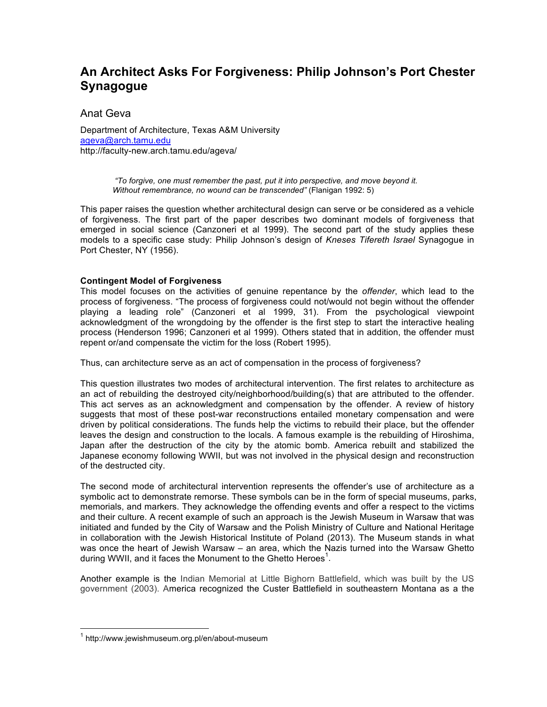# **An Architect Asks For Forgiveness: Philip Johnson's Port Chester Synagogue**

Anat Geva

Department of Architecture, Texas A&M University ageva@arch.tamu.edu http://faculty-new.arch.tamu.edu/ageva/

> *"To forgive, one must remember the past, put it into perspective, and move beyond it. Without remembrance, no wound can be transcended"* (Flanigan 1992: 5)

This paper raises the question whether architectural design can serve or be considered as a vehicle of forgiveness. The first part of the paper describes two dominant models of forgiveness that emerged in social science (Canzoneri et al 1999). The second part of the study applies these models to a specific case study: Philip Johnson's design of *Kneses Tifereth Israel* Synagogue in Port Chester, NY (1956).

## **Contingent Model of Forgiveness**

This model focuses on the activities of genuine repentance by the *offender*, which lead to the process of forgiveness. "The process of forgiveness could not/would not begin without the offender playing a leading role" (Canzoneri et al 1999, 31). From the psychological viewpoint acknowledgment of the wrongdoing by the offender is the first step to start the interactive healing process (Henderson 1996; Canzoneri et al 1999). Others stated that in addition, the offender must repent or/and compensate the victim for the loss (Robert 1995).

Thus, can architecture serve as an act of compensation in the process of forgiveness?

This question illustrates two modes of architectural intervention. The first relates to architecture as an act of rebuilding the destroyed city/neighborhood/building(s) that are attributed to the offender. This act serves as an acknowledgment and compensation by the offender. A review of history suggests that most of these post-war reconstructions entailed monetary compensation and were driven by political considerations. The funds help the victims to rebuild their place, but the offender leaves the design and construction to the locals. A famous example is the rebuilding of Hiroshima, Japan after the destruction of the city by the atomic bomb. America rebuilt and stabilized the Japanese economy following WWII, but was not involved in the physical design and reconstruction of the destructed city.

The second mode of architectural intervention represents the offender's use of architecture as a symbolic act to demonstrate remorse. These symbols can be in the form of special museums, parks, memorials, and markers. They acknowledge the offending events and offer a respect to the victims and their culture. A recent example of such an approach is the Jewish Museum in Warsaw that was initiated and funded by the City of Warsaw and the Polish Ministry of Culture and National Heritage in collaboration with the Jewish Historical Institute of Poland (2013). The Museum stands in what was once the heart of Jewish Warsaw – an area, which the Nazis turned into the Warsaw Ghetto during WWII, and it faces the Monument to the Ghetto Heroes<sup>1</sup>.

Another example is the Indian Memorial at Little Bighorn Battlefield, which was built by the US government (2003). America recognized the Custer Battlefield in southeastern Montana as a the

 $\frac{1}{1}$ <sup>1</sup> http://www.jewishmuseum.org.pl/en/about-museum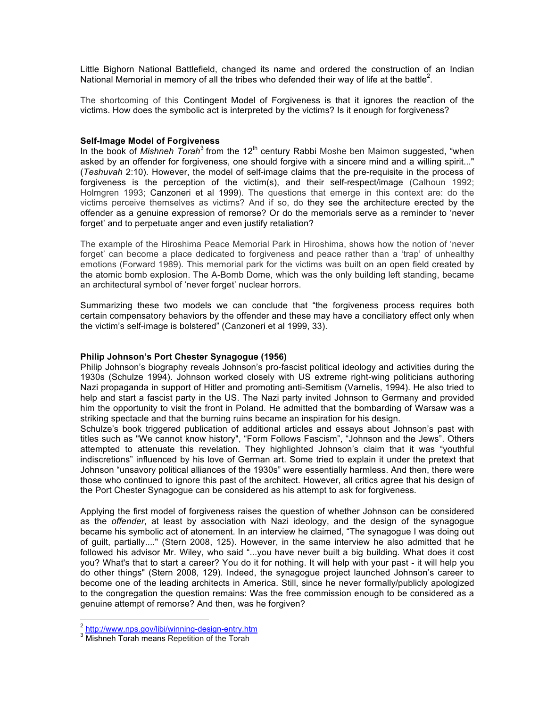Little Bighorn National Battlefield, changed its name and ordered the construction of an Indian National Memorial in memory of all the tribes who defended their way of life at the battle<sup>2</sup>.

The shortcoming of this Contingent Model of Forgiveness is that it ignores the reaction of the victims. How does the symbolic act is interpreted by the victims? Is it enough for forgiveness?

### **Self-Image Model of Forgiveness**

In the book of Mishneh Torah<sup>3</sup> from the 12<sup>th</sup> century Rabbi Moshe ben Maimon suggested, "when asked by an offender for forgiveness, one should forgive with a sincere mind and a willing spirit..." (*Teshuvah* 2:10). However, the model of self-image claims that the pre-requisite in the process of forgiveness is the perception of the victim(s), and their self-respect/image (Calhoun 1992; Holmgren 1993; Canzoneri et al 1999). The questions that emerge in this context are: do the victims perceive themselves as victims? And if so, do they see the architecture erected by the offender as a genuine expression of remorse? Or do the memorials serve as a reminder to 'never forget' and to perpetuate anger and even justify retaliation?

The example of the Hiroshima Peace Memorial Park in Hiroshima, shows how the notion of 'never forget' can become a place dedicated to forgiveness and peace rather than a 'trap' of unhealthy emotions (Forward 1989). This memorial park for the victims was built on an open field created by the atomic bomb explosion. The A-Bomb Dome, which was the only building left standing, became an architectural symbol of 'never forget' nuclear horrors.

Summarizing these two models we can conclude that "the forgiveness process requires both certain compensatory behaviors by the offender and these may have a conciliatory effect only when the victim's self-image is bolstered" (Canzoneri et al 1999, 33).

#### **Philip Johnson's Port Chester Synagogue (1956)**

Philip Johnson's biography reveals Johnson's pro-fascist political ideology and activities during the 1930s (Schulze 1994). Johnson worked closely with US extreme right-wing politicians authoring Nazi propaganda in support of Hitler and promoting anti-Semitism (Varnelis, 1994). He also tried to help and start a fascist party in the US. The Nazi party invited Johnson to Germany and provided him the opportunity to visit the front in Poland. He admitted that the bombarding of Warsaw was a striking spectacle and that the burning ruins became an inspiration for his design.

Schulze's book triggered publication of additional articles and essays about Johnson's past with titles such as "We cannot know history", "Form Follows Fascism", "Johnson and the Jews". Others attempted to attenuate this revelation. They highlighted Johnson's claim that it was "youthful indiscretions" influenced by his love of German art. Some tried to explain it under the pretext that Johnson "unsavory political alliances of the 1930s" were essentially harmless. And then, there were those who continued to ignore this past of the architect. However, all critics agree that his design of the Port Chester Synagogue can be considered as his attempt to ask for forgiveness.

Applying the first model of forgiveness raises the question of whether Johnson can be considered as the *offender*, at least by association with Nazi ideology, and the design of the synagogue became his symbolic act of atonement. In an interview he claimed, "The synagogue I was doing out of guilt, partially...." (Stern 2008, 125). However, in the same interview he also admitted that he followed his advisor Mr. Wiley, who said "...you have never built a big building. What does it cost you? What's that to start a career? You do it for nothing. It will help with your past - it will help you do other things" (Stern 2008, 129). Indeed, the synagogue project launched Johnson's career to become one of the leading architects in America. Still, since he never formally/publicly apologized to the congregation the question remains: Was the free commission enough to be considered as a genuine attempt of remorse? And then, was he forgiven?

<sup>&</sup>lt;sup>2</sup> http://www.nps.gov/libi/winning-design-entry.htm

<sup>&</sup>lt;sup>3</sup> Mishneh Torah means Repetition of the Torah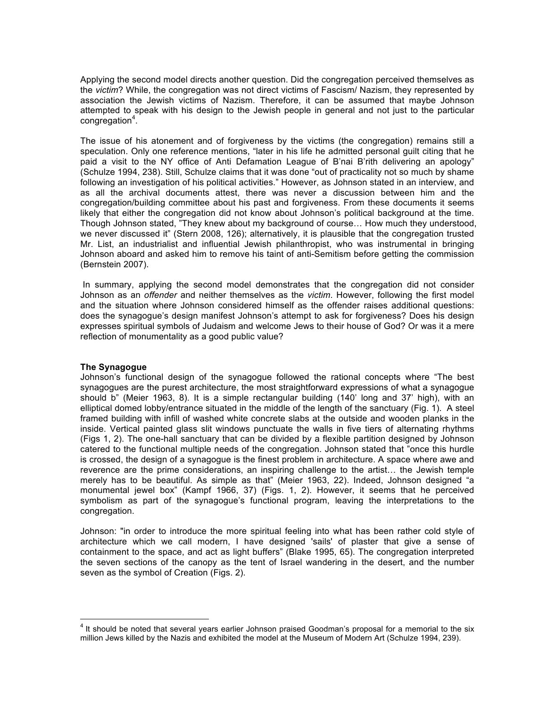Applying the second model directs another question. Did the congregation perceived themselves as the *victim*? While, the congregation was not direct victims of Fascism/ Nazism, they represented by association the Jewish victims of Nazism. Therefore, it can be assumed that maybe Johnson attempted to speak with his design to the Jewish people in general and not just to the particular congregation<sup>4</sup>.

The issue of his atonement and of forgiveness by the victims (the congregation) remains still a speculation. Only one reference mentions, "later in his life he admitted personal guilt citing that he paid a visit to the NY office of Anti Defamation League of B'nai B'rith delivering an apology" (Schulze 1994, 238). Still, Schulze claims that it was done "out of practicality not so much by shame following an investigation of his political activities." However, as Johnson stated in an interview, and as all the archival documents attest, there was never a discussion between him and the congregation/building committee about his past and forgiveness. From these documents it seems likely that either the congregation did not know about Johnson's political background at the time. Though Johnson stated, "They knew about my background of course… How much they understood, we never discussed it" (Stern 2008, 126); alternatively, it is plausible that the congregation trusted Mr. List, an industrialist and influential Jewish philanthropist, who was instrumental in bringing Johnson aboard and asked him to remove his taint of anti-Semitism before getting the commission (Bernstein 2007).

 In summary, applying the second model demonstrates that the congregation did not consider Johnson as an *offender* and neither themselves as the *victim*. However, following the first model and the situation where Johnson considered himself as the offender raises additional questions: does the synagogue's design manifest Johnson's attempt to ask for forgiveness? Does his design expresses spiritual symbols of Judaism and welcome Jews to their house of God? Or was it a mere reflection of monumentality as a good public value?

#### **The Synagogue**

Johnson's functional design of the synagogue followed the rational concepts where "The best synagogues are the purest architecture, the most straightforward expressions of what a synagogue should b" (Meier 1963, 8). It is a simple rectangular building (140' long and 37' high), with an elliptical domed lobby/entrance situated in the middle of the length of the sanctuary (Fig. 1). A steel framed building with infill of washed white concrete slabs at the outside and wooden planks in the inside. Vertical painted glass slit windows punctuate the walls in five tiers of alternating rhythms (Figs 1, 2). The one-hall sanctuary that can be divided by a flexible partition designed by Johnson catered to the functional multiple needs of the congregation. Johnson stated that "once this hurdle is crossed, the design of a synagogue is the finest problem in architecture. A space where awe and reverence are the prime considerations, an inspiring challenge to the artist… the Jewish temple merely has to be beautiful. As simple as that" (Meier 1963, 22). Indeed, Johnson designed "a monumental jewel box" (Kampf 1966, 37) (Figs. 1, 2). However, it seems that he perceived symbolism as part of the synagogue's functional program, leaving the interpretations to the congregation.

Johnson: "in order to introduce the more spiritual feeling into what has been rather cold style of architecture which we call modern, I have designed 'sails' of plaster that give a sense of containment to the space, and act as light buffers" (Blake 1995, 65). The congregation interpreted the seven sections of the canopy as the tent of Israel wandering in the desert, and the number seven as the symbol of Creation (Figs. 2).

 $\frac{1}{4}$  $4$  It should be noted that several years earlier Johnson praised Goodman's proposal for a memorial to the six million Jews killed by the Nazis and exhibited the model at the Museum of Modern Art (Schulze 1994, 239).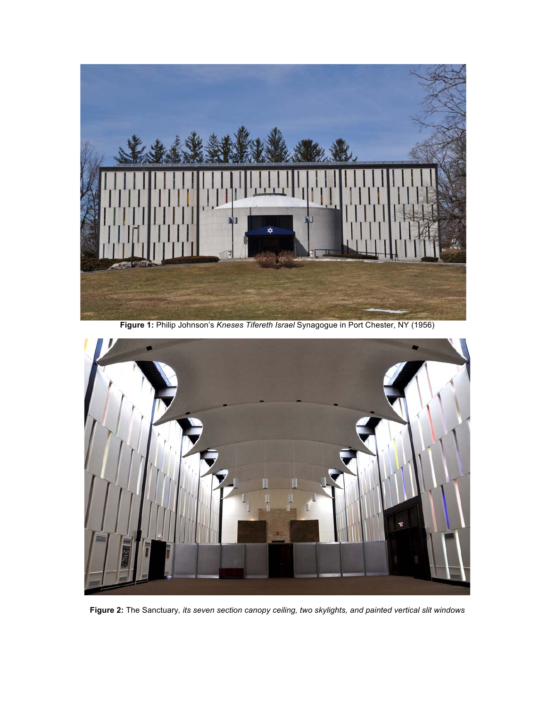

**Figure 1:** Philip Johnson's *Kneses Tifereth Israel* Synagogue in Port Chester, NY (1956)



**Figure 2:** The Sanctuary*, its seven section canopy ceiling, two skylights, and painted vertical slit windows*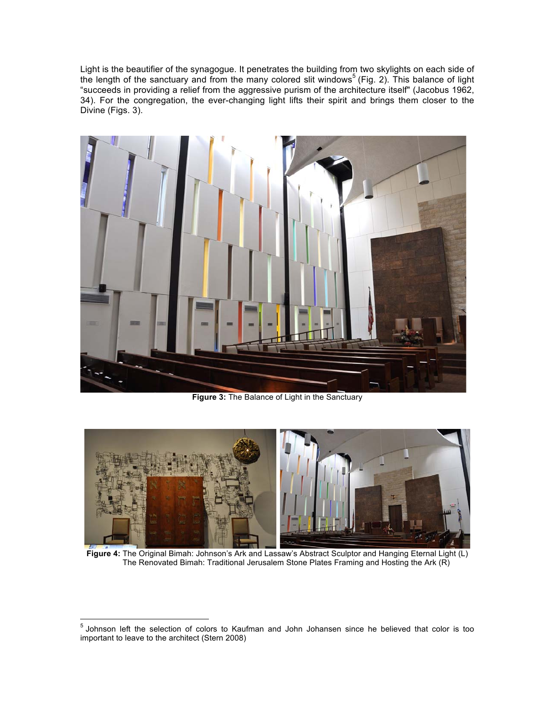Light is the beautifier of the synagogue. It penetrates the building from two skylights on each side of the length of the sanctuary and from the many colored slit windows<sup>5</sup> (Fig. 2). This balance of light "succeeds in providing a relief from the aggressive purism of the architecture itself" (Jacobus 1962, 34). For the congregation, the ever-changing light lifts their spirit and brings them closer to the Divine (Figs. 3).



**Figure 3:** The Balance of Light in the Sanctuary



**Figure 4:** The Original Bimah: Johnson's Ark and Lassaw's Abstract Sculptor and Hanging Eternal Light (L) The Renovated Bimah: Traditional Jerusalem Stone Plates Framing and Hosting the Ark (R)

<sup>-&</sup>lt;br>5  $5$  Johnson left the selection of colors to Kaufman and John Johansen since he believed that color is too important to leave to the architect (Stern 2008)